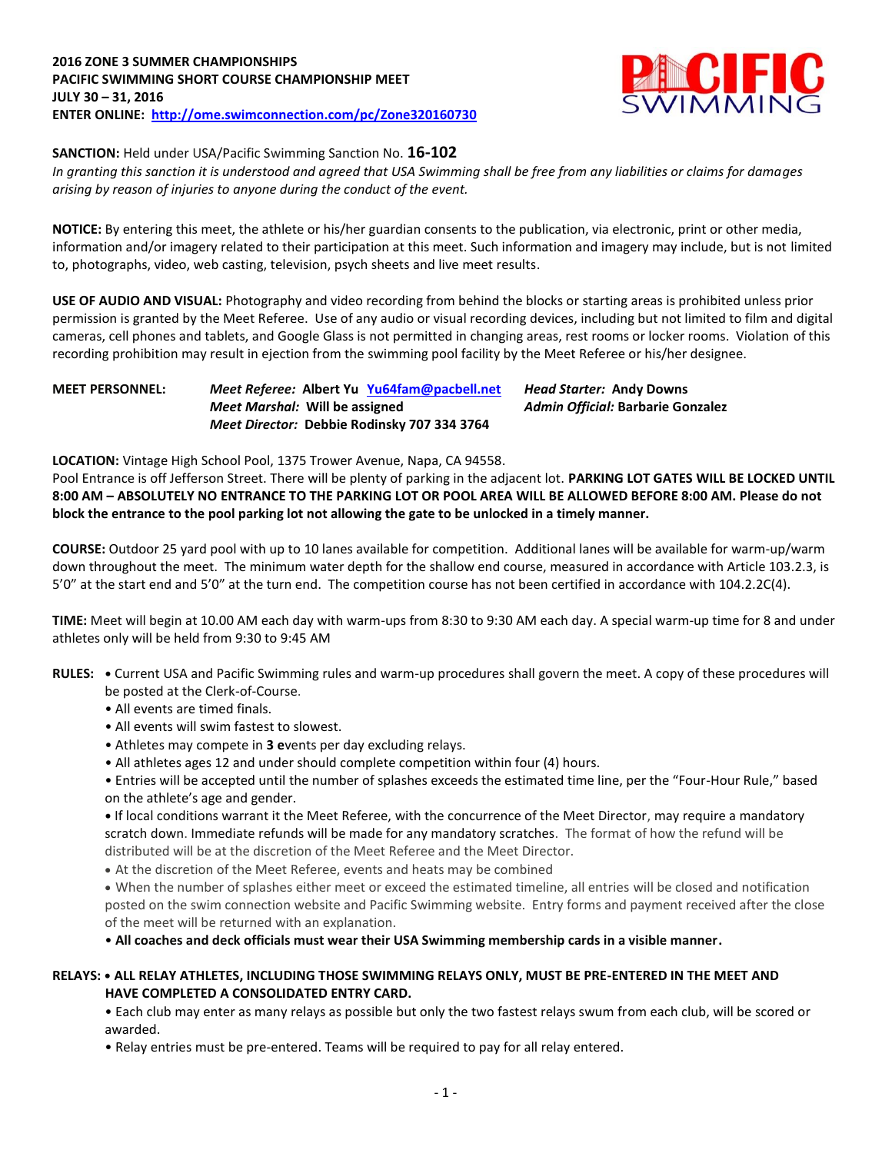

**SANCTION:** Held under USA/Pacific Swimming Sanction No. **16-102**

*In granting this sanction it is understood and agreed that USA Swimming shall be free from any liabilities or claims for damages arising by reason of injuries to anyone during the conduct of the event.*

**NOTICE:** By entering this meet, the athlete or his/her guardian consents to the publication, via electronic, print or other media, information and/or imagery related to their participation at this meet. Such information and imagery may include, but is not limited to, photographs, video, web casting, television, psych sheets and live meet results.

**USE OF AUDIO AND VISUAL:** Photography and video recording from behind the blocks or starting areas is prohibited unless prior permission is granted by the Meet Referee. Use of any audio or visual recording devices, including but not limited to film and digital cameras, cell phones and tablets, and Google Glass is not permitted in changing areas, rest rooms or locker rooms. Violation of this recording prohibition may result in ejection from the swimming pool facility by the Meet Referee or his/her designee.

# **MEET PERSONNEL:** *Meet Referee:* **Albert Yu [Yu64fam@pacbell.net](mailto:Yu64fam@pacbell.net)** *Head Starter:* **Andy Downs** *Meet Marshal:* **Will be assigned** *Admin Official:* **Barbarie Gonzalez** *Meet Director:* **Debbie Rodinsky 707 334 3764**

**LOCATION:** Vintage High School Pool, 1375 Trower Avenue, Napa, CA 94558.

Pool Entrance is off Jefferson Street. There will be plenty of parking in the adjacent lot. **PARKING LOT GATES WILL BE LOCKED UNTIL 8:00 AM – ABSOLUTELY NO ENTRANCE TO THE PARKING LOT OR POOL AREA WILL BE ALLOWED BEFORE 8:00 AM. Please do not block the entrance to the pool parking lot not allowing the gate to be unlocked in a timely manner.**

**COURSE:** Outdoor 25 yard pool with up to 10 lanes available for competition. Additional lanes will be available for warm-up/warm down throughout the meet. The minimum water depth for the shallow end course, measured in accordance with Article 103.2.3, is 5'0" at the start end and 5'0" at the turn end. The competition course has not been certified in accordance with 104.2.2C(4).

**TIME:** Meet will begin at 10.00 AM each day with warm-ups from 8:30 to 9:30 AM each day. A special warm-up time for 8 and under athletes only will be held from 9:30 to 9:45 AM

- **RULES: •** Current USA and Pacific Swimming rules and warm-up procedures shall govern the meet. A copy of these procedures will be posted at the Clerk-of-Course.
	- All events are timed finals.
	- All events will swim fastest to slowest.
	- Athletes may compete in **3 e**vents per day excluding relays.
	- All athletes ages 12 and under should complete competition within four (4) hours.

• Entries will be accepted until the number of splashes exceeds the estimated time line, per the "Four-Hour Rule," based on the athlete's age and gender.

**•** If local conditions warrant it the Meet Referee, with the concurrence of the Meet Director, may require a mandatory scratch down. Immediate refunds will be made for any mandatory scratches. The format of how the refund will be distributed will be at the discretion of the Meet Referee and the Meet Director.

At the discretion of the Meet Referee, events and heats may be combined

 When the number of splashes either meet or exceed the estimated timeline, all entries will be closed and notification posted on the swim connection website and Pacific Swimming website. Entry forms and payment received after the close of the meet will be returned with an explanation.

• **All coaches and deck officials must wear their USA Swimming membership cards in a visible manner.** 

# **RELAYS: • ALL RELAY ATHLETES, INCLUDING THOSE SWIMMING RELAYS ONLY, MUST BE PRE-ENTERED IN THE MEET AND HAVE COMPLETED A CONSOLIDATED ENTRY CARD.**

• Each club may enter as many relays as possible but only the two fastest relays swum from each club, will be scored or awarded.

• Relay entries must be pre-entered. Teams will be required to pay for all relay entered.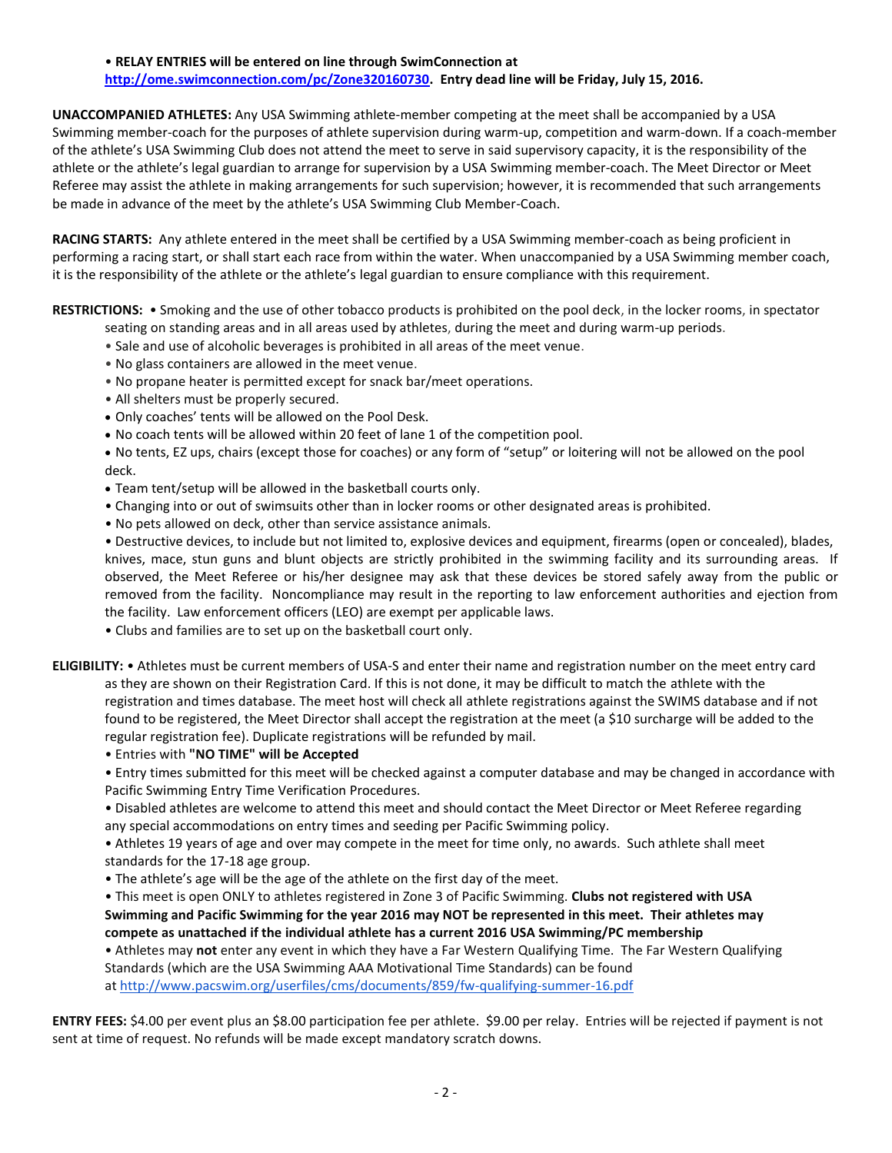### • **RELAY ENTRIES will be entered on line through SwimConnection at [http://ome.swimconnection.com/pc/Zone320160730.](http://ome.swimconnection.com/pc/Zone320160730) Entry dead line will be Friday, July 15, 2016.**

**UNACCOMPANIED ATHLETES:** Any USA Swimming athlete-member competing at the meet shall be accompanied by a USA Swimming member-coach for the purposes of athlete supervision during warm-up, competition and warm-down. If a coach-member of the athlete's USA Swimming Club does not attend the meet to serve in said supervisory capacity, it is the responsibility of the athlete or the athlete's legal guardian to arrange for supervision by a USA Swimming member-coach. The Meet Director or Meet Referee may assist the athlete in making arrangements for such supervision; however, it is recommended that such arrangements be made in advance of the meet by the athlete's USA Swimming Club Member-Coach.

**RACING STARTS:** Any athlete entered in the meet shall be certified by a USA Swimming member-coach as being proficient in performing a racing start, or shall start each race from within the water. When unaccompanied by a USA Swimming member coach, it is the responsibility of the athlete or the athlete's legal guardian to ensure compliance with this requirement.

**RESTRICTIONS:** • Smoking and the use of other tobacco products is prohibited on the pool deck, in the locker rooms, in spectator

- seating on standing areas and in all areas used by athletes, during the meet and during warm-up periods.
- Sale and use of alcoholic beverages is prohibited in all areas of the meet venue.
- No glass containers are allowed in the meet venue.
- No propane heater is permitted except for snack bar/meet operations.
- All shelters must be properly secured.
- Only coaches' tents will be allowed on the Pool Desk.
- No coach tents will be allowed within 20 feet of lane 1 of the competition pool.

 No tents, EZ ups, chairs (except those for coaches) or any form of "setup" or loitering will not be allowed on the pool deck.

- Team tent/setup will be allowed in the basketball courts only.
- Changing into or out of swimsuits other than in locker rooms or other designated areas is prohibited.
- No pets allowed on deck, other than service assistance animals.

• Destructive devices, to include but not limited to, explosive devices and equipment, firearms (open or concealed), blades, knives, mace, stun guns and blunt objects are strictly prohibited in the swimming facility and its surrounding areas. If observed, the Meet Referee or his/her designee may ask that these devices be stored safely away from the public or removed from the facility. Noncompliance may result in the reporting to law enforcement authorities and ejection from the facility. Law enforcement officers (LEO) are exempt per applicable laws.

• Clubs and families are to set up on the basketball court only.

**ELIGIBILITY:** • Athletes must be current members of USA-S and enter their name and registration number on the meet entry card as they are shown on their Registration Card. If this is not done, it may be difficult to match the athlete with the registration and times database. The meet host will check all athlete registrations against the SWIMS database and if not found to be registered, the Meet Director shall accept the registration at the meet (a \$10 surcharge will be added to the regular registration fee). Duplicate registrations will be refunded by mail.

• Entries with **"NO TIME" will be Accepted**

• Entry times submitted for this meet will be checked against a computer database and may be changed in accordance with Pacific Swimming Entry Time Verification Procedures.

• Disabled athletes are welcome to attend this meet and should contact the Meet Director or Meet Referee regarding any special accommodations on entry times and seeding per Pacific Swimming policy.

• Athletes 19 years of age and over may compete in the meet for time only, no awards. Such athlete shall meet standards for the 17-18 age group.

• The athlete's age will be the age of the athlete on the first day of the meet.

• This meet is open ONLY to athletes registered in Zone 3 of Pacific Swimming. **Clubs not registered with USA Swimming and Pacific Swimming for the year 2016 may NOT be represented in this meet. Their athletes may compete as unattached if the individual athlete has a current 2016 USA Swimming/PC membership**

• Athletes may **not** enter any event in which they have a Far Western Qualifying Time. The Far Western Qualifying Standards (which are the USA Swimming AAA Motivational Time Standards) can be found at <http://www.pacswim.org/userfiles/cms/documents/859/fw-qualifying-summer-16.pdf>

**ENTRY FEES:** \$4.00 per event plus an \$8.00 participation fee per athlete. \$9.00 per relay. Entries will be rejected if payment is not sent at time of request. No refunds will be made except mandatory scratch downs.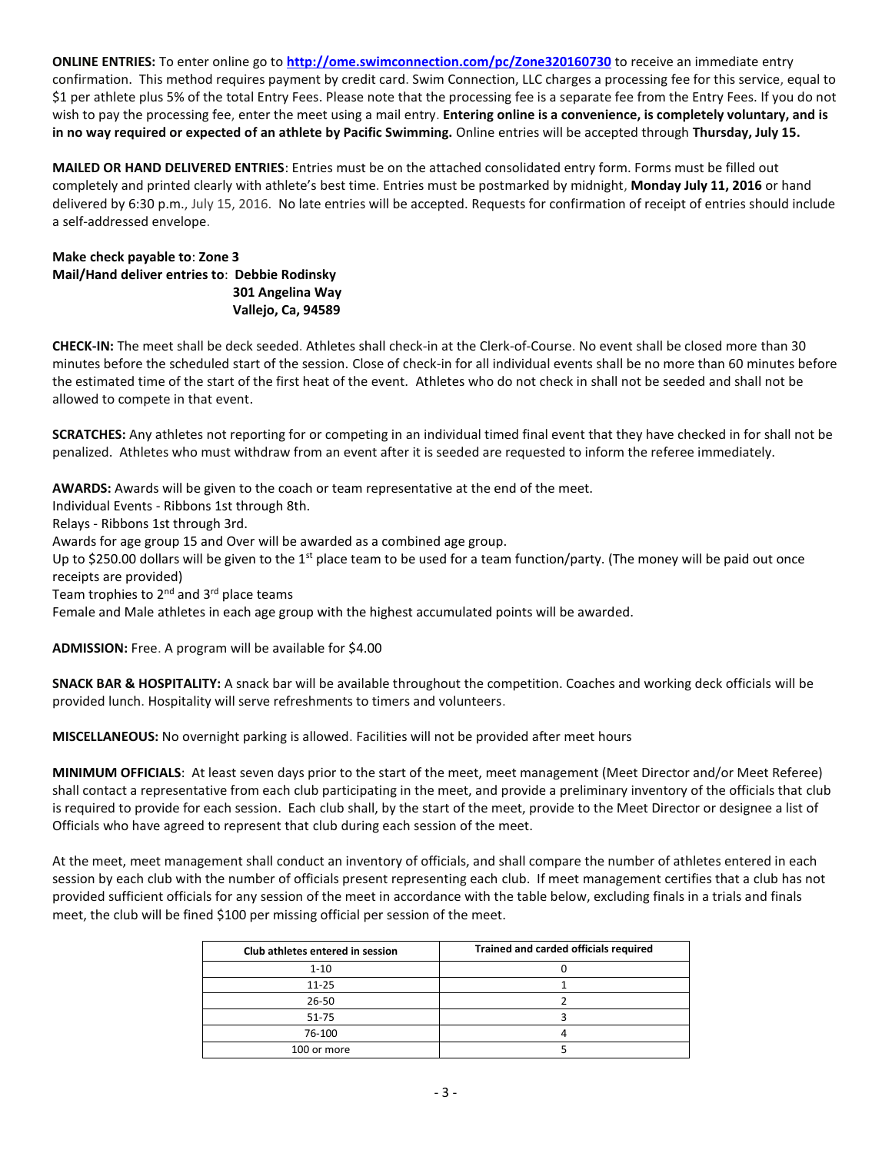**ONLINE ENTRIES:** To enter online go to **<http://ome.swimconnection.com/pc/Zone320160730>** to receive an immediate entry confirmation. This method requires payment by credit card. Swim Connection, LLC charges a processing fee for this service, equal to \$1 per athlete plus 5% of the total Entry Fees. Please note that the processing fee is a separate fee from the Entry Fees. If you do not wish to pay the processing fee, enter the meet using a mail entry. **Entering online is a convenience, is completely voluntary, and is in no way required or expected of an athlete by Pacific Swimming.** Online entries will be accepted through **Thursday, July 15.**

**MAILED OR HAND DELIVERED ENTRIES**: Entries must be on the attached consolidated entry form. Forms must be filled out completely and printed clearly with athlete's best time. Entries must be postmarked by midnight, **Monday July 11, 2016** or hand delivered by 6:30 p.m., July 15, 2016. No late entries will be accepted. Requests for confirmation of receipt of entries should include a self-addressed envelope.

### **Make check payable to**: **Zone 3 Mail/Hand deliver entries to**: **Debbie Rodinsky 301 Angelina Way Vallejo, Ca, 94589**

**CHECK-IN:** The meet shall be deck seeded. Athletes shall check-in at the Clerk-of-Course. No event shall be closed more than 30 minutes before the scheduled start of the session. Close of check-in for all individual events shall be no more than 60 minutes before the estimated time of the start of the first heat of the event. Athletes who do not check in shall not be seeded and shall not be allowed to compete in that event.

**SCRATCHES:** Any athletes not reporting for or competing in an individual timed final event that they have checked in for shall not be penalized. Athletes who must withdraw from an event after it is seeded are requested to inform the referee immediately.

**AWARDS:** Awards will be given to the coach or team representative at the end of the meet. Individual Events - Ribbons 1st through 8th. Relays - Ribbons 1st through 3rd. Awards for age group 15 and Over will be awarded as a combined age group. Up to \$250.00 dollars will be given to the 1<sup>st</sup> place team to be used for a team function/party. (The money will be paid out once receipts are provided) Team trophies to 2<sup>nd</sup> and 3<sup>rd</sup> place teams Female and Male athletes in each age group with the highest accumulated points will be awarded.

**ADMISSION:** Free. A program will be available for \$4.00

**SNACK BAR & HOSPITALITY:** A snack bar will be available throughout the competition. Coaches and working deck officials will be provided lunch. Hospitality will serve refreshments to timers and volunteers.

**MISCELLANEOUS:** No overnight parking is allowed. Facilities will not be provided after meet hours

**MINIMUM OFFICIALS**: At least seven days prior to the start of the meet, meet management (Meet Director and/or Meet Referee) shall contact a representative from each club participating in the meet, and provide a preliminary inventory of the officials that club is required to provide for each session. Each club shall, by the start of the meet, provide to the Meet Director or designee a list of Officials who have agreed to represent that club during each session of the meet.

At the meet, meet management shall conduct an inventory of officials, and shall compare the number of athletes entered in each session by each club with the number of officials present representing each club. If meet management certifies that a club has not provided sufficient officials for any session of the meet in accordance with the table below, excluding finals in a trials and finals meet, the club will be fined \$100 per missing official per session of the meet.

| Club athletes entered in session | Trained and carded officials required |
|----------------------------------|---------------------------------------|
| $1 - 10$                         |                                       |
| $11 - 25$                        |                                       |
| $26 - 50$                        |                                       |
| 51-75                            |                                       |
| 76-100                           |                                       |
| 100 or more                      |                                       |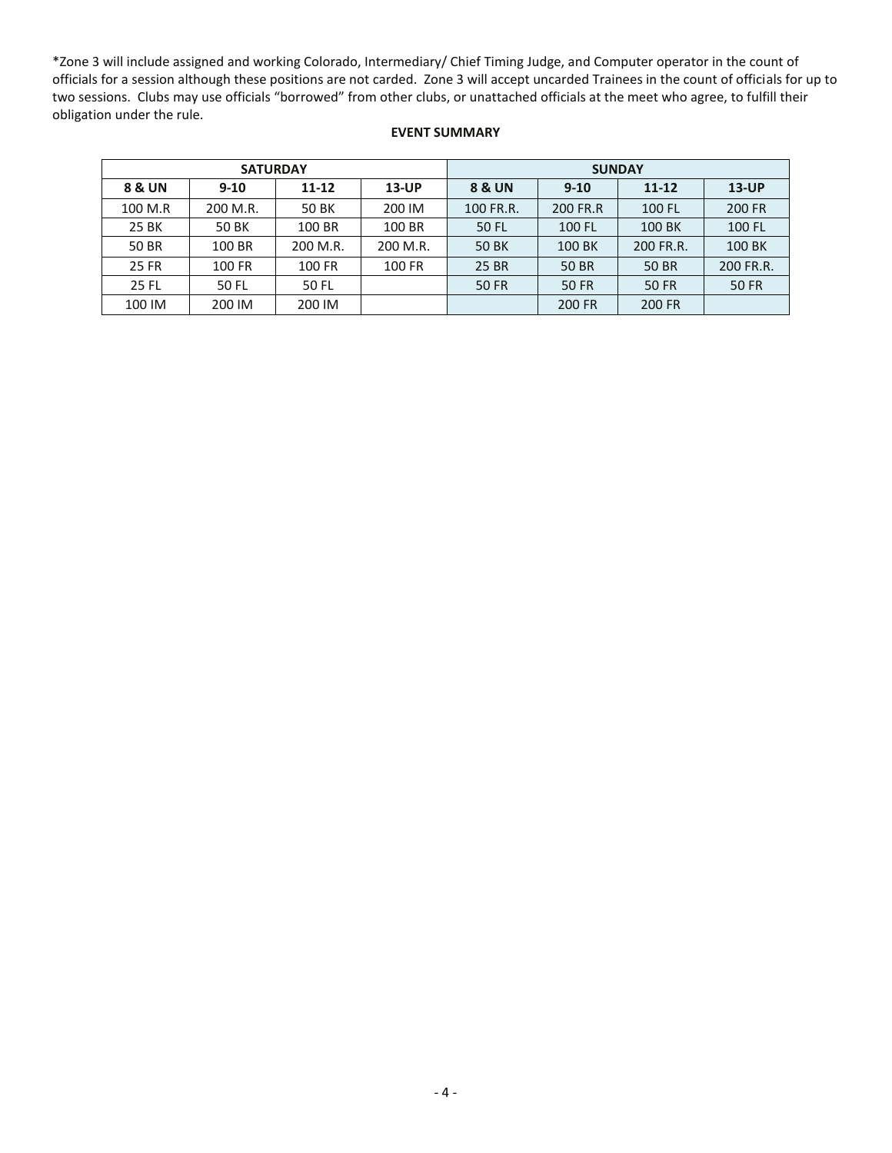\*Zone 3 will include assigned and working Colorado, Intermediary/ Chief Timing Judge, and Computer operator in the count of officials for a session although these positions are not carded. Zone 3 will accept uncarded Trainees in the count of officials for up to two sessions. Clubs may use officials "borrowed" from other clubs, or unattached officials at the meet who agree, to fulfill their obligation under the rule.

|         | <b>SATURDAY</b> |           |          | <b>SUNDAY</b>     |               |              |              |  |  |
|---------|-----------------|-----------|----------|-------------------|---------------|--------------|--------------|--|--|
| 8 & UN  | $9 - 10$        | $11 - 12$ | $13$ -UP | <b>8 &amp; UN</b> | $9 - 10$      | $11 - 12$    | <b>13-UP</b> |  |  |
| 100 M.R | 200 M.R.        | 50 BK     | 200 IM   | 100 FR.R.         | 200 FR.R      | 100 FL       | 200 FR       |  |  |
| 25 BK   | 50 BK           | 100 BR    | 100 BR   | 50 FL             | 100 FL        | 100 BK       | 100 FL       |  |  |
| 50 BR   | 100 BR          | 200 M.R.  | 200 M.R. | <b>50 BK</b>      | 100 BK        | 200 FR.R.    | 100 BK       |  |  |
| 25 FR   | 100 FR          | 100 FR    | 100 FR   | 25 BR             | <b>50 BR</b>  | <b>50 BR</b> | 200 FR.R.    |  |  |
| 25 FL   | 50 FL           | 50 FL     |          | <b>50 FR</b>      | <b>50 FR</b>  | <b>50 FR</b> | <b>50 FR</b> |  |  |
| 100 IM  | 200 IM          | 200 IM    |          |                   | <b>200 FR</b> | 200 FR       |              |  |  |

### **EVENT SUMMARY**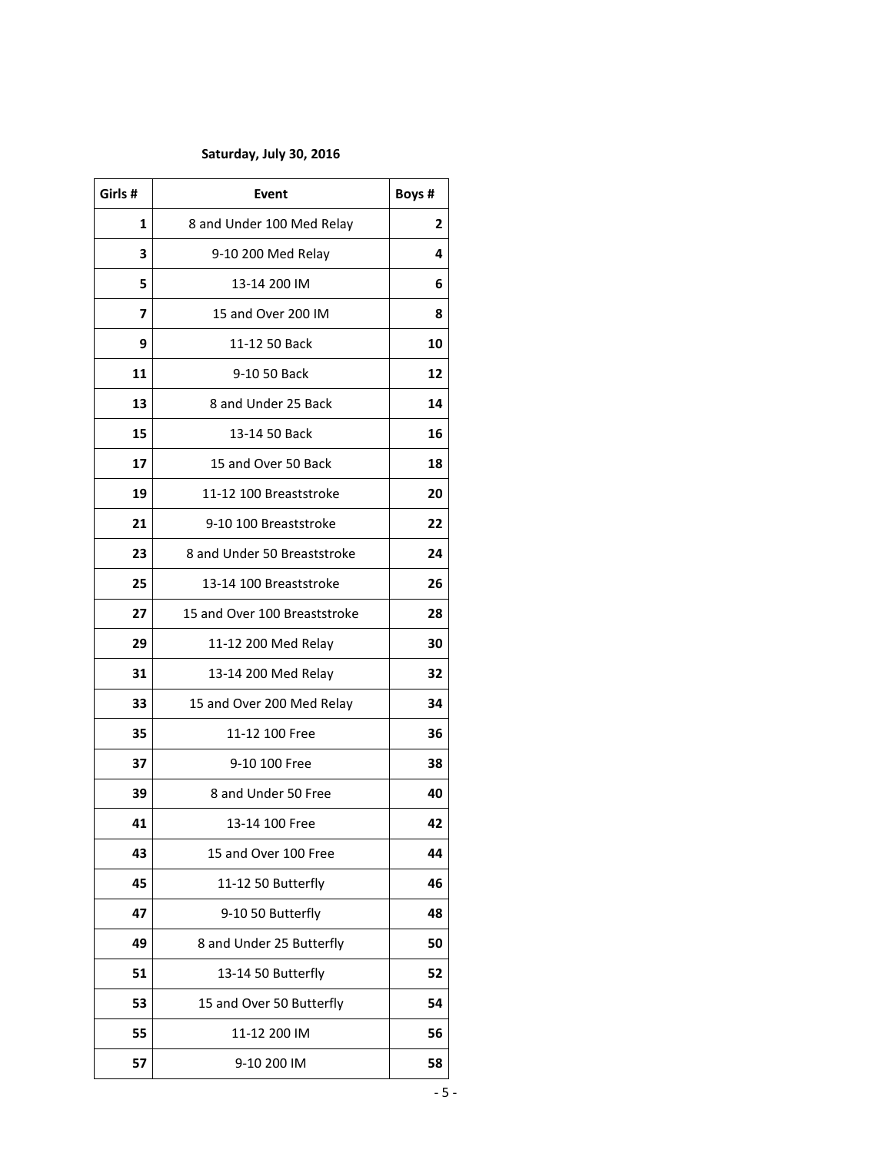# **Saturday, July 30, 2016**

| Girls # | Event                        | Boys # |
|---------|------------------------------|--------|
| 1       | 8 and Under 100 Med Relay    | 2      |
| 3       | 9-10 200 Med Relay           | 4      |
| 5       | 13-14 200 IM                 | 6      |
| 7       | 15 and Over 200 IM           | 8      |
| 9       | 11-12 50 Back                | 10     |
| 11      | 9-10 50 Back                 | 12     |
| 13      | 8 and Under 25 Back          | 14     |
| 15      | 13-14 50 Back                | 16     |
| 17      | 15 and Over 50 Back          | 18     |
| 19      | 11-12 100 Breaststroke       | 20     |
| 21      | 9-10 100 Breaststroke        | 22     |
| 23      | 8 and Under 50 Breaststroke  | 24     |
| 25      | 13-14 100 Breaststroke       | 26     |
| 27      | 15 and Over 100 Breaststroke | 28     |
| 29      | 11-12 200 Med Relay          | 30     |
| 31      | 13-14 200 Med Relay          | 32     |
| 33      | 15 and Over 200 Med Relay    | 34     |
| 35      | 11-12 100 Free               | 36     |
| 37      | 9-10 100 Free                | 38     |
| 39      | 8 and Under 50 Free          | 40     |
| 41      | 13-14 100 Free               | 42     |
| 43      | 15 and Over 100 Free         | 44     |
| 45      | 11-12 50 Butterfly           | 46     |
| 47      | 9-10 50 Butterfly            | 48     |
| 49      | 8 and Under 25 Butterfly     | 50     |
| 51      | 13-14 50 Butterfly           | 52     |
| 53      | 15 and Over 50 Butterfly     | 54     |
| 55      | 11-12 200 IM                 | 56     |
| 57      | 9-10 200 IM                  | 58     |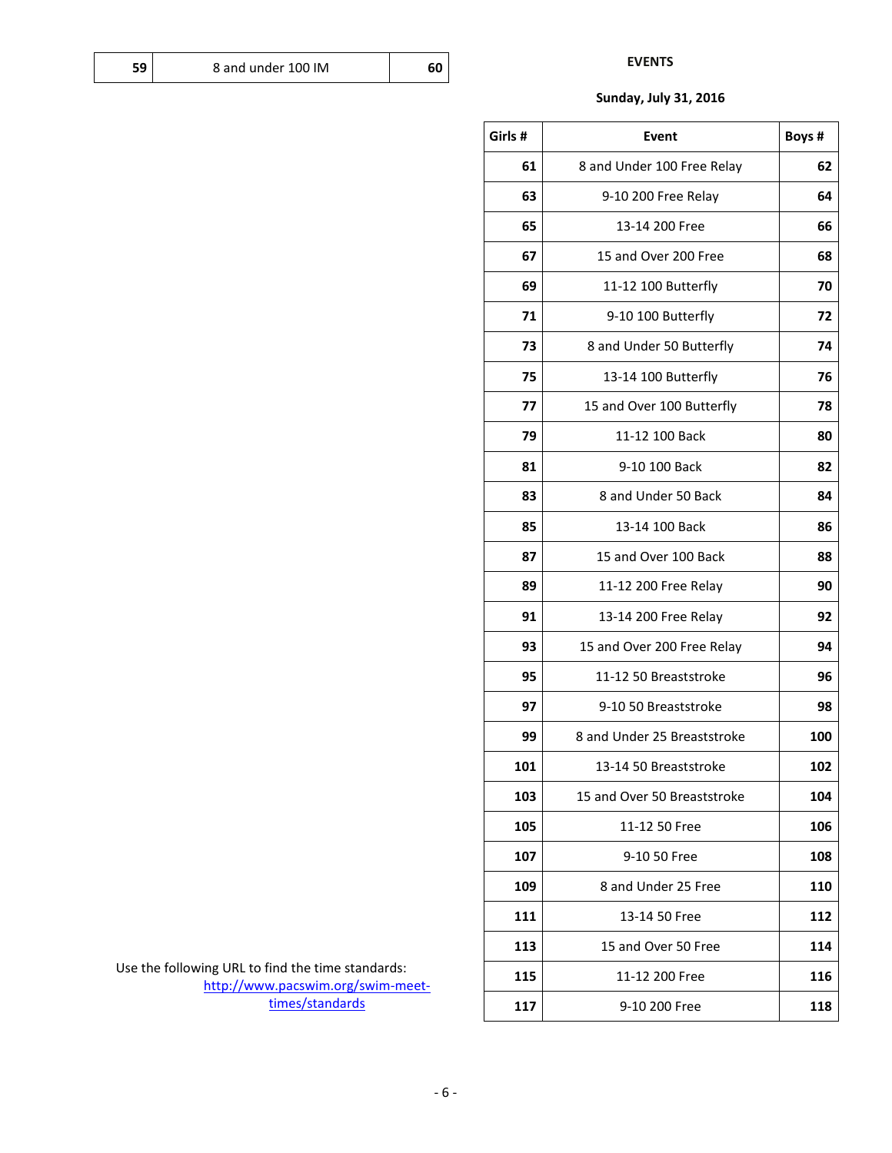| 59 | 8 and under 100 IM | 60 |
|----|--------------------|----|
|----|--------------------|----|

#### **EVENTS**

# **Sunday, July 31, 2016**

| Girls # | Event                       | Boys # |  |  |  |
|---------|-----------------------------|--------|--|--|--|
| 61      | 8 and Under 100 Free Relay  | 62     |  |  |  |
| 63      | 9-10 200 Free Relay         | 64     |  |  |  |
| 65      | 13-14 200 Free              | 66     |  |  |  |
| 67      | 15 and Over 200 Free        | 68     |  |  |  |
| 69      | 11-12 100 Butterfly         | 70     |  |  |  |
| 71      | 9-10 100 Butterfly          | 72     |  |  |  |
| 73      | 8 and Under 50 Butterfly    | 74     |  |  |  |
| 75      | 13-14 100 Butterfly         | 76     |  |  |  |
| 77      | 15 and Over 100 Butterfly   | 78     |  |  |  |
| 79      | 11-12 100 Back              | 80     |  |  |  |
| 81      | 9-10 100 Back               | 82     |  |  |  |
| 83      | 8 and Under 50 Back         | 84     |  |  |  |
| 85      | 13-14 100 Back              | 86     |  |  |  |
| 87      | 15 and Over 100 Back        | 88     |  |  |  |
| 89      | 11-12 200 Free Relay        | 90     |  |  |  |
| 91      | 13-14 200 Free Relay        | 92     |  |  |  |
| 93      | 15 and Over 200 Free Relay  | 94     |  |  |  |
| 95      | 11-12 50 Breaststroke       | 96     |  |  |  |
| 97      | 9-10 50 Breaststroke        | 98     |  |  |  |
| 99      | 8 and Under 25 Breaststroke | 100    |  |  |  |
| 101     | 13-14 50 Breaststroke       | 102    |  |  |  |
| 103     | 15 and Over 50 Breaststroke | 104    |  |  |  |
| 105     | 11-12 50 Free               | 106    |  |  |  |
| 107     | 9-10 50 Free                | 108    |  |  |  |
| 109     | 8 and Under 25 Free         | 110    |  |  |  |
| 111     | 13-14 50 Free               | 112    |  |  |  |
| 113     | 15 and Over 50 Free         | 114    |  |  |  |
| 115     | 11-12 200 Free              | 116    |  |  |  |
| 117     | 9-10 200 Free               |        |  |  |  |

Use the following URL to find the time standards: [http://www.pacswim.org/swim-meet](http://www.pacswim.org/swim-meet-times/standards)[times/standards](http://www.pacswim.org/swim-meet-times/standards)